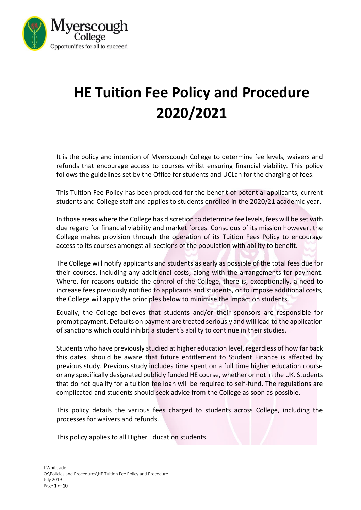

# **HE Tuition Fee Policy and Procedure 2020/2021**

It is the policy and intention of Myerscough College to determine fee levels, waivers and refunds that encourage access to courses whilst ensuring financial viability. This policy follows the guidelines set by the Office for students and UCLan for the charging of fees.

This Tuition Fee Policy has been produced for the benefit of potential applicants, current students and College staff and applies to students enrolled in the 2020/21 academic year.

In those areas where the College has discretion to determine fee levels, fees will be set with due regard for financial viability and market forces. Conscious of its mission however, the College makes provision through the operation of its Tuition Fees Policy to encourage access to its courses amongst all sections of the population with ability to benefit.

The College will notify applicants and students as early as possible of the total fees due for their courses, including any additional costs, along with the arrangements for payment. Where, for reasons outside the control of the College, there is, exceptionally, a need to increase fees previously notified to applicants and students, or to impose additional costs, the College will apply the principles below to minimise the impact on students.

Equally, the College believes that students and/or their sponsors are responsible for prompt payment. Defaults on payment are treated seriously and will lead to the application of sanctions which could inhibit a student's ability to continue in their studies.

Students who have previously studied at higher education level, regardless of how far back this dates, should be aware that future entitlement to Student Finance is affected by previous study. Previous study includes time spent on a full time higher education course or any specifically designated publicly funded HE course, whether or not in the UK. Students that do not qualify for a tuition fee loan will be required to self-fund. The regulations are complicated and students should seek advice from the College as soon as possible.

This policy details the various fees charged to students across College, including the processes for waivers and refunds.

This policy applies to all Higher Education students.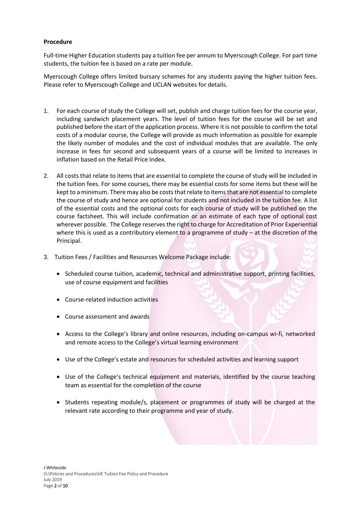## **Procedure**

Full-time Higher Education students pay a tuition fee per annum to Myerscough College. For part time students, the tuition fee is based on a rate per module.

Myerscough College offers limited bursary schemes for any students paying the higher tuition fees. Please refer to Myerscough College and UCLAN websites for details.

- 1. For each course of study the College will set, publish and charge tuition fees for the course year, including sandwich placement years. The level of tuition fees for the course will be set and published before the start of the application process. Where it is not possible to confirm the total costs of a modular course, the College will provide as much information as possible for example the likely number of modules and the cost of individual modules that are available. The only increase in fees for second and subsequent years of a course will be limited to increases in inflation based on the Retail Price Index.
- 2. All costs that relate to items that are essential to complete the course of study will be included in the tuition fees. For some courses, there may be essential costs for some items but these will be kept to a minimum. There may also be costs that relate to items that are not essential to complete the course of study and hence are optional for students and not included in the tuition fee. A list of the essential costs and the optional costs for each course of study will be published on the course factsheet. This will include confirmation or an estimate of each type of optional cost wherever possible. The College reserves the right to charge for Accreditation of Prior Experiential where this is used as a contributory element to a programme of study – at the discretion of the Principal.
- 3. Tuition Fees / Facilities and Resources Welcome Package include:
	- Scheduled course tuition, academic, technical and administrative support, printing facilities, use of course equipment and facilities
	- Course-related induction activities
	- Course assessment and awards
	- Access to the College's library and online resources, including on-campus wi-fi, networked and remote access to the College's virtual learning environment
	- Use of the College's estate and resources for scheduled activities and learning support
	- Use of the College's technical equipment and materials, identified by the course teaching team as essential for the completion of the course
	- Students repeating module/s, placement or programmes of study will be charged at the relevant rate according to their programme and year of study.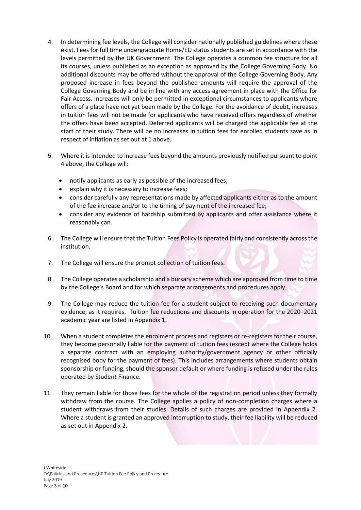- 4. In determining fee levels, the College will consider nationally published guidelines where these exist. Fees for full time undergraduate Home/EU status students are set in accordance with the levels permitted by the UK Government. The College operates a common fee structure for all its courses, unless published as an exception as approved by the College Governing Body. No additional discounts may be offered without the approval of the College Governing Body. Any proposed increase in fees beyond the published amounts will require the approval of the College Governing Body and be in line with any access agreement in place with the Office for Fair Access. Increases will only be permitted in exceptional circumstances to applicants where offers of a place have not yet been made by the College. For the avoidance of doubt, increases in tuition fees will not be made for applicants who have received offers regardless of whether the offers have been accepted. Deferred applicants will be charged the applicable fee at the start of their study. There will be no increases in tuition fees for enrolled students save as in respect of inflation as set out at 1 above.
- 5. Where it is intended to increase fees beyond the amounts previously notified pursuant to point 4 above, the College will:
	- notify applicants as early as possible of the increased fees;
	- explain why it is necessary to increase fees;
	- consider carefully any representations made by affected applicants either as to the amount of the fee increase and/or to the timing of payment of the increased fee;
	- consider any evidence of hardship submitted by applicants and offer assistance where it reasonably can.
- 6. The College will ensure that the Tuition Fees Policy is operated fairly and consistently across the institution.
- 7. The College will ensure the prompt collection of tuition fees.
- 8. The College operates a scholarship and a bursary scheme which are approved from time to time by the College's Board and for which separate arrangements and procedures apply.
- 9. The College may reduce the tuition fee for a student subject to receiving such documentary evidence, as it requires. Tuition fee reductions and discounts in operation for the 2020–2021 academic year are listed in Appendix 1.
- 10. When a student completes the enrolment process and registers or re-registers for their course, they become personally liable for the payment of tuition fees (except where the College holds a separate contract with an employing authority/government agency or other officially recognised body for the payment of fees). This includes arrangements where students obtain sponsorship or funding, should the sponsor default or where funding is refused under the rules operated by Student Finance.
- 11. They remain liable for those fees for the whole of the registration period unless they formally withdraw from the course. The College applies a policy of non-completion charges where a student withdraws from their studies. Details of such charges are provided in Appendix 2. Where a student is granted an approved interruption to study, their fee liability will be reduced as set out in Appendix 2.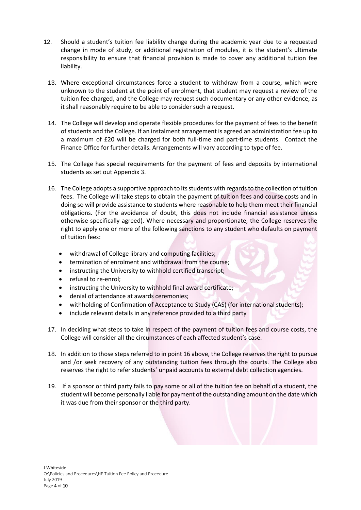- 12. Should a student's tuition fee liability change during the academic year due to a requested change in mode of study, or additional registration of modules, it is the student's ultimate responsibility to ensure that financial provision is made to cover any additional tuition fee liability.
	- 13. Where exceptional circumstances force a student to withdraw from a course, which were unknown to the student at the point of enrolment, that student may request a review of the tuition fee charged, and the College may request such documentary or any other evidence, as it shall reasonably require to be able to consider such a request.
	- 14. The College will develop and operate flexible procedures for the payment of fees to the benefit of students and the College. If an instalment arrangement is agreed an administration fee up to a maximum of £20 will be charged for both full-time and part-time students. Contact the Finance Office for further details. Arrangements will vary according to type of fee.
	- 15. The College has special requirements for the payment of fees and deposits by international students as set out Appendix 3.
	- 16. The College adopts a supportive approach to its students with regards to the collection of tuition fees. The College will take steps to obtain the payment of tuition fees and course costs and in doing so will provide assistance to students where reasonable to help them meet their financial obligations. (For the avoidance of doubt, this does not include financial assistance unless otherwise specifically agreed). Where necessary and proportionate, the College reserves the right to apply one or more of the following sanctions to any student who defaults on payment of tuition fees:
		- withdrawal of College library and computing facilities;
		- termination of enrolment and withdrawal from the course;
		- instructing the University to withhold certified transcript;
		- refusal to re-enrol;
		- instructing the University to withhold final award certificate;
		- denial of attendance at awards ceremonies;
		- withholding of Confirmation of Acceptance to Study (CAS) (for international students);
		- include relevant details in any reference provided to a third party
	- 17. In deciding what steps to take in respect of the payment of tuition fees and course costs, the College will consider all the circumstances of each affected student's case.
	- 18. In addition to those steps referred to in point 16 above, the College reserves the right to pursue and /or seek recovery of any outstanding tuition fees through the courts. The College also reserves the right to refer students' unpaid accounts to external debt collection agencies.
	- 19. If a sponsor or third party fails to pay some or all of the tuition fee on behalf of a student, the student will become personally liable for payment of the outstanding amount on the date which it was due from their sponsor or the third party.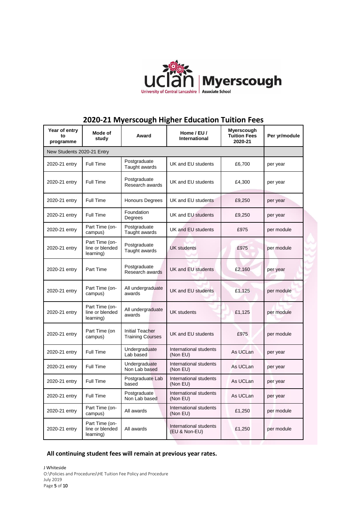

## **2020-21 Myerscough Higher Education Tuition Fees**

| Year of entry<br>to<br>programme | Mode of<br>study                               | Award                                             | Home / EU /<br>International            | Myerscough<br><b>Tuition Fees</b><br>2020-21 | Per yr/module |
|----------------------------------|------------------------------------------------|---------------------------------------------------|-----------------------------------------|----------------------------------------------|---------------|
| New Students 2020-21 Entry       |                                                |                                                   |                                         |                                              |               |
| 2020-21 entry                    | Full Time                                      | Postgraduate<br>Taught awards                     | UK and EU students                      | £6,700                                       | per year      |
| 2020-21 entry                    | Full Time                                      | Postgraduate<br>Research awards                   | UK and EU students                      | £4,300                                       | per year      |
| 2020-21 entry                    | Full Time                                      | <b>Honours Degrees</b>                            | UK and EU students                      | £9,250                                       | per year      |
| 2020-21 entry                    | Full Time                                      | Foundation<br>Degrees                             | UK and EU students                      | £9,250                                       | per year      |
| 2020-21 entry                    | Part Time (on-<br>campus)                      | Postgraduate<br>Taught awards                     | UK and EU students                      | £975                                         | per module    |
| 2020-21 entry                    | Part Time (on-<br>line or blended<br>learning) | Postgraduate<br>Taught awards                     | <b>UK students</b>                      | £975                                         | per module    |
| 2020-21 entry                    | Part Time                                      | Postgraduate<br>Research awards                   | UK and EU students                      | £2,160                                       | per year      |
| 2020-21 entry                    | Part Time (on-<br>campus)                      | All undergraduate<br>awards                       | UK and EU students                      | £1,125                                       | per module    |
| 2020-21 entry                    | Part Time (on-<br>line or blended<br>learning) | All undergraduate<br>awards                       | <b>UK students</b>                      | £1,125                                       | per module    |
| 2020-21 entry                    | Part Time (on<br>campus)                       | <b>Initial Teacher</b><br><b>Training Courses</b> | UK and EU students                      | £975                                         | per module    |
| 2020-21 entry                    | Full Time                                      | Undergraduate<br>Lab based                        | International students<br>(Non EU)      | As UCLan                                     | per year      |
| 2020-21 entry                    | Full Time                                      | Undergraduate<br>Non Lab based                    | International students<br>(Non EU)      | As UCLan                                     | per year      |
| 2020-21 entry                    | Full Time                                      | Postgraduate Lab<br>based                         | International students<br>(Non EU)      | As UCLan                                     | per year      |
| 2020-21 entry                    | Full Time                                      | Postgraduate<br>Non Lab based                     | International students<br>(Non EU)      | As UCLan                                     | per year      |
| 2020-21 entry                    | Part Time (on-<br>campus)                      | All awards                                        | International students<br>(Non EU)      | £1,250                                       | per module    |
| 2020-21 entry                    | Part Time (on-<br>line or blended<br>learning) | All awards                                        | International students<br>(EU & Non-EU) | £1,250                                       | per module    |

## **All continuing student fees will remain at previous year rates.**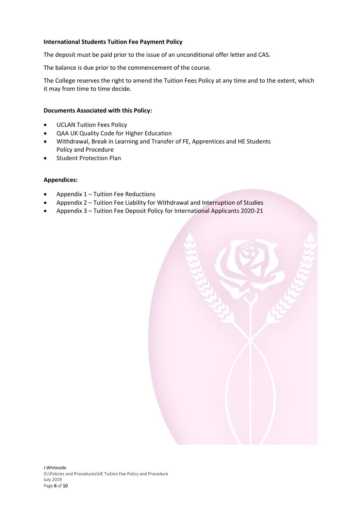## **International Students Tuition Fee Payment Policy**

The deposit must be paid prior to the issue of an unconditional offer letter and CAS.

The balance is due prior to the commencement of the course.

The College reserves the right to amend the Tuition Fees Policy at any time and to the extent, which it may from time to time decide.

### **Documents Associated with this Policy:**

- UCLAN Tuition Fees Policy
- QAA UK Quality Code for Higher Education
- Withdrawal, Break in Learning and Transfer of FE, Apprentices and HE Students Policy and Procedure
- Student Protection Plan

## **Appendices:**

- Appendix 1 Tuition Fee Reductions
- Appendix 2 Tuition Fee Liability for Withdrawal and Interruption of Studies
- Appendix 3 Tuition Fee Deposit Policy for International Applicants 2020-21

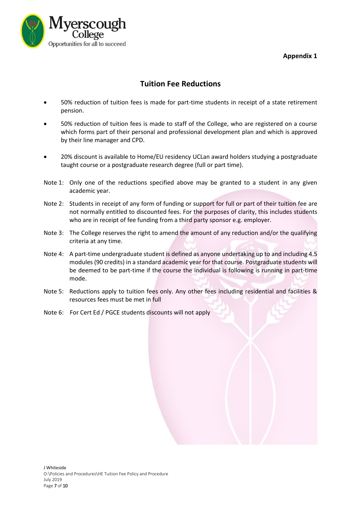## **Appendix 1**



## **Tuition Fee Reductions**

- 50% reduction of tuition fees is made for part-time students in receipt of a state retirement pension.
- 50% reduction of tuition fees is made to staff of the College, who are registered on a course which forms part of their personal and professional development plan and which is approved by their line manager and CPD.
- 20% discount is available to Home/EU residency UCLan award holders studying a postgraduate taught course or a postgraduate research degree (full or part time).
- Note 1: Only one of the reductions specified above may be granted to a student in any given academic year.
- Note 2: Students in receipt of any form of funding or support for full or part of their tuition fee are not normally entitled to discounted fees. For the purposes of clarity, this includes students who are in receipt of fee funding from a third party sponsor e.g. employer.
- Note 3: The College reserves the right to amend the amount of any reduction and/or the qualifying criteria at any time.
- Note 4: A part-time undergraduate student is defined as anyone undertaking up to and including 4.5 modules (90 credits) in a standard academic year for that course. Postgraduate students will be deemed to be part-time if the course the individual is following is running in part-time mode.
- Note 5: Reductions apply to tuition fees only. Any other fees including residential and facilities & resources fees must be met in full
- Note 6: For Cert Ed / PGCE students discounts will not apply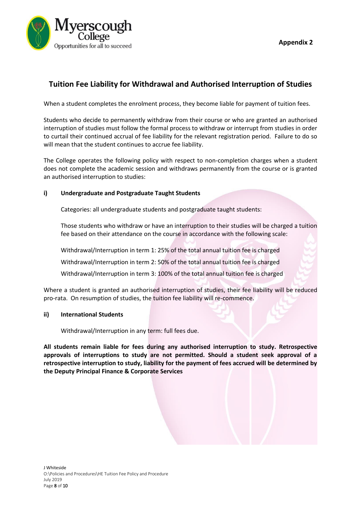

**Appendix 2**

## **Tuition Fee Liability for Withdrawal and Authorised Interruption of Studies**

When a student completes the enrolment process, they become liable for payment of tuition fees.

Students who decide to permanently withdraw from their course or who are granted an authorised interruption of studies must follow the formal process to withdraw or interrupt from studies in order to curtail their continued accrual of fee liability for the relevant registration period. Failure to do so will mean that the student continues to accrue fee liability.

The College operates the following policy with respect to non-completion charges when a student does not complete the academic session and withdraws permanently from the course or is granted an authorised interruption to studies:

## **i) Undergraduate and Postgraduate Taught Students**

Categories: all undergraduate students and postgraduate taught students:

Those students who withdraw or have an interruption to their studies will be charged a tuition fee based on their attendance on the course in accordance with the following scale:

Withdrawal/Interruption in term 1: 25% of the total annual tuition fee is charged

Withdrawal/Interruption in term 2: 50% of the total annual tuition fee is charged

Withdrawal/Interruption in term 3: 100% of the total annual tuition fee is charged

Where a student is granted an authorised interruption of studies, their fee liability will be reduced pro-rata. On resumption of studies, the tuition fee liability will re-commence.

#### **ii) International Students**

Withdrawal/Interruption in any term: full fees due.

**All students remain liable for fees during any authorised interruption to study. Retrospective approvals of interruptions to study are not permitted. Should a student seek approval of a retrospective interruption to study, liability for the payment of fees accrued will be determined by the Deputy Principal Finance & Corporate Services**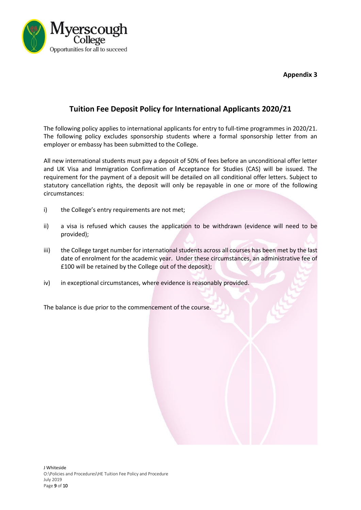**Appendix 3**



## **Tuition Fee Deposit Policy for International Applicants 2020/21**

The following policy applies to international applicants for entry to full-time programmes in 2020/21. The following policy excludes sponsorship students where a formal sponsorship letter from an employer or embassy has been submitted to the College.

All new international students must pay a deposit of 50% of fees before an unconditional offer letter and UK Visa and Immigration Confirmation of Acceptance for Studies (CAS) will be issued. The requirement for the payment of a deposit will be detailed on all conditional offer letters. Subject to statutory cancellation rights, the deposit will only be repayable in one or more of the following circumstances:

- i) the College's entry requirements are not met;
- ii) a visa is refused which causes the application to be withdrawn (evidence will need to be provided);
- iii) the College target number for international students across all courses has been met by the last date of enrolment for the academic year. Under these circumstances, an administrative fee of £100 will be retained by the College out of the deposit);
- iv) in exceptional circumstances, where evidence is reasonably provided.

The balance is due prior to the commencement of the course.